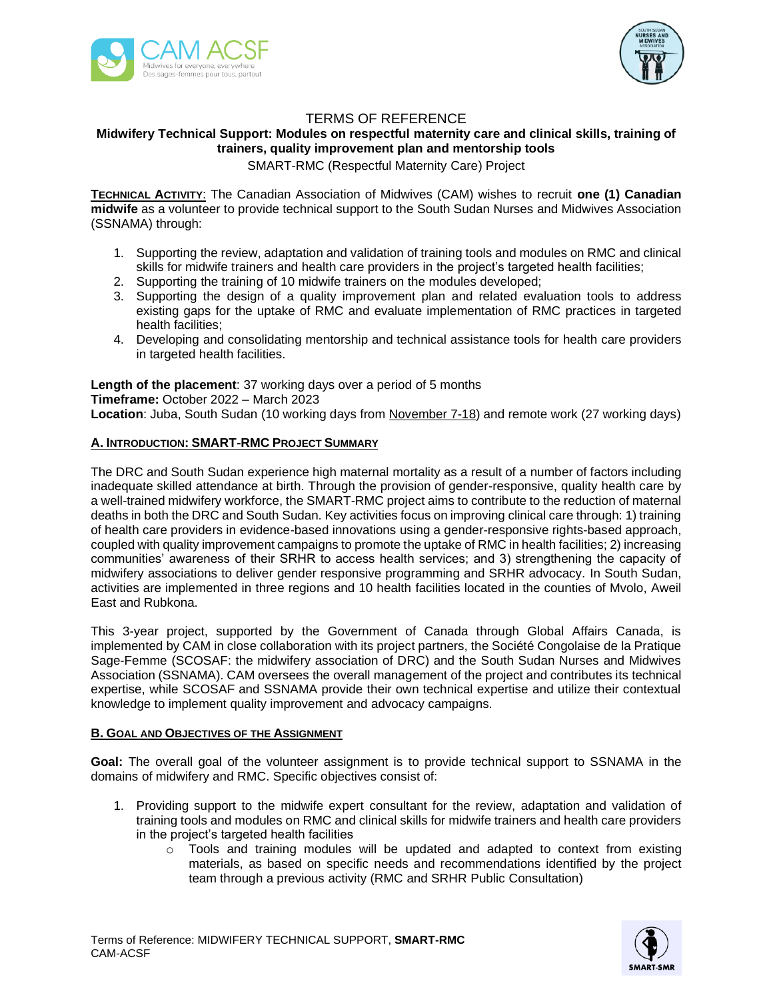



# TERMS OF REFERENCE

## **Midwifery Technical Support: Modules on respectful maternity care and clinical skills, training of trainers, quality improvement plan and mentorship tools**

SMART-RMC (Respectful Maternity Care) Project

**TECHNICAL ACTIVITY**: The Canadian Association of Midwives (CAM) wishes to recruit **one (1) Canadian midwife** as a volunteer to provide technical support to the South Sudan Nurses and Midwives Association (SSNAMA) through:

- 1. Supporting the review, adaptation and validation of training tools and modules on RMC and clinical skills for midwife trainers and health care providers in the project's targeted health facilities;
- 2. Supporting the training of 10 midwife trainers on the modules developed;
- 3. Supporting the design of a quality improvement plan and related evaluation tools to address existing gaps for the uptake of RMC and evaluate implementation of RMC practices in targeted health facilities;
- 4. Developing and consolidating mentorship and technical assistance tools for health care providers in targeted health facilities.

**Length of the placement**: 37 working days over a period of 5 months **Timeframe:** October 2022 – March 2023 **Location**: Juba, South Sudan (10 working days from November 7-18) and remote work (27 working days)

## **A. INTRODUCTION: SMART-RMC PROJECT SUMMARY**

The DRC and South Sudan experience high maternal mortality as a result of a number of factors including inadequate skilled attendance at birth. Through the provision of gender-responsive, quality health care by a well-trained midwifery workforce, the SMART-RMC project aims to contribute to the reduction of maternal deaths in both the DRC and South Sudan. Key activities focus on improving clinical care through: 1) training of health care providers in evidence-based innovations using a gender-responsive rights-based approach, coupled with quality improvement campaigns to promote the uptake of RMC in health facilities; 2) increasing communities' awareness of their SRHR to access health services; and 3) strengthening the capacity of midwifery associations to deliver gender responsive programming and SRHR advocacy. In South Sudan, activities are implemented in three regions and 10 health facilities located in the counties of Mvolo, Aweil East and Rubkona.

This 3-year project, supported by the Government of Canada through Global Affairs Canada, is implemented by CAM in close collaboration with its project partners, the Société Congolaise de la Pratique Sage-Femme (SCOSAF: the midwifery association of DRC) and the South Sudan Nurses and Midwives Association (SSNAMA). CAM oversees the overall management of the project and contributes its technical expertise, while SCOSAF and SSNAMA provide their own technical expertise and utilize their contextual knowledge to implement quality improvement and advocacy campaigns.

## **B. GOAL AND OBJECTIVES OF THE ASSIGNMENT**

**Goal:** The overall goal of the volunteer assignment is to provide technical support to SSNAMA in the domains of midwifery and RMC. Specific objectives consist of:

- 1. Providing support to the midwife expert consultant for the review, adaptation and validation of training tools and modules on RMC and clinical skills for midwife trainers and health care providers in the project's targeted health facilities
	- $\circ$  Tools and training modules will be updated and adapted to context from existing materials, as based on specific needs and recommendations identified by the project team through a previous activity (RMC and SRHR Public Consultation)

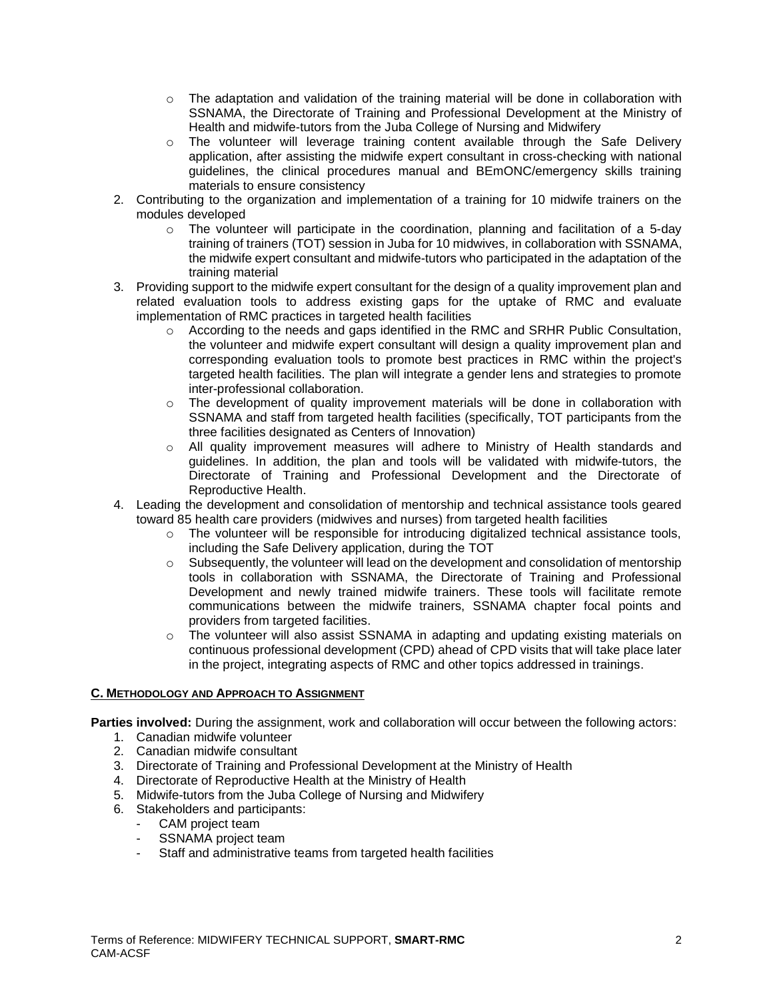- o The adaptation and validation of the training material will be done in collaboration with SSNAMA, the Directorate of Training and Professional Development at the Ministry of Health and midwife-tutors from the Juba College of Nursing and Midwifery
- o The volunteer will leverage training content available through the Safe Delivery application, after assisting the midwife expert consultant in cross-checking with national guidelines, the clinical procedures manual and BEmONC/emergency skills training materials to ensure consistency
- 2. Contributing to the organization and implementation of a training for 10 midwife trainers on the modules developed
	- $\circ$  The volunteer will participate in the coordination, planning and facilitation of a 5-day training of trainers (TOT) session in Juba for 10 midwives, in collaboration with SSNAMA, the midwife expert consultant and midwife-tutors who participated in the adaptation of the training material
- 3. Providing support to the midwife expert consultant for the design of a quality improvement plan and related evaluation tools to address existing gaps for the uptake of RMC and evaluate implementation of RMC practices in targeted health facilities
	- $\circ$  According to the needs and gaps identified in the RMC and SRHR Public Consultation, the volunteer and midwife expert consultant will design a quality improvement plan and corresponding evaluation tools to promote best practices in RMC within the project's targeted health facilities. The plan will integrate a gender lens and strategies to promote inter-professional collaboration.
	- $\circ$  The development of quality improvement materials will be done in collaboration with SSNAMA and staff from targeted health facilities (specifically, TOT participants from the three facilities designated as Centers of Innovation)
	- o All quality improvement measures will adhere to Ministry of Health standards and guidelines. In addition, the plan and tools will be validated with midwife-tutors, the Directorate of Training and Professional Development and the Directorate of Reproductive Health.
- 4. Leading the development and consolidation of mentorship and technical assistance tools geared toward 85 health care providers (midwives and nurses) from targeted health facilities
	- o The volunteer will be responsible for introducing digitalized technical assistance tools, including the Safe Delivery application, during the TOT
	- $\circ$  Subsequently, the volunteer will lead on the development and consolidation of mentorship tools in collaboration with SSNAMA, the Directorate of Training and Professional Development and newly trained midwife trainers. These tools will facilitate remote communications between the midwife trainers, SSNAMA chapter focal points and providers from targeted facilities.
	- o The volunteer will also assist SSNAMA in adapting and updating existing materials on continuous professional development (CPD) ahead of CPD visits that will take place later in the project, integrating aspects of RMC and other topics addressed in trainings.

## **C. METHODOLOGY AND APPROACH TO ASSIGNMENT**

**Parties involved:** During the assignment, work and collaboration will occur between the following actors:

- 1. Canadian midwife volunteer
- 2. Canadian midwife consultant
- 3. Directorate of Training and Professional Development at the Ministry of Health
- 4. Directorate of Reproductive Health at the Ministry of Health
- 5. Midwife-tutors from the Juba College of Nursing and Midwifery
- 6. Stakeholders and participants:
	- CAM project team
	- SSNAMA project team
	- Staff and administrative teams from targeted health facilities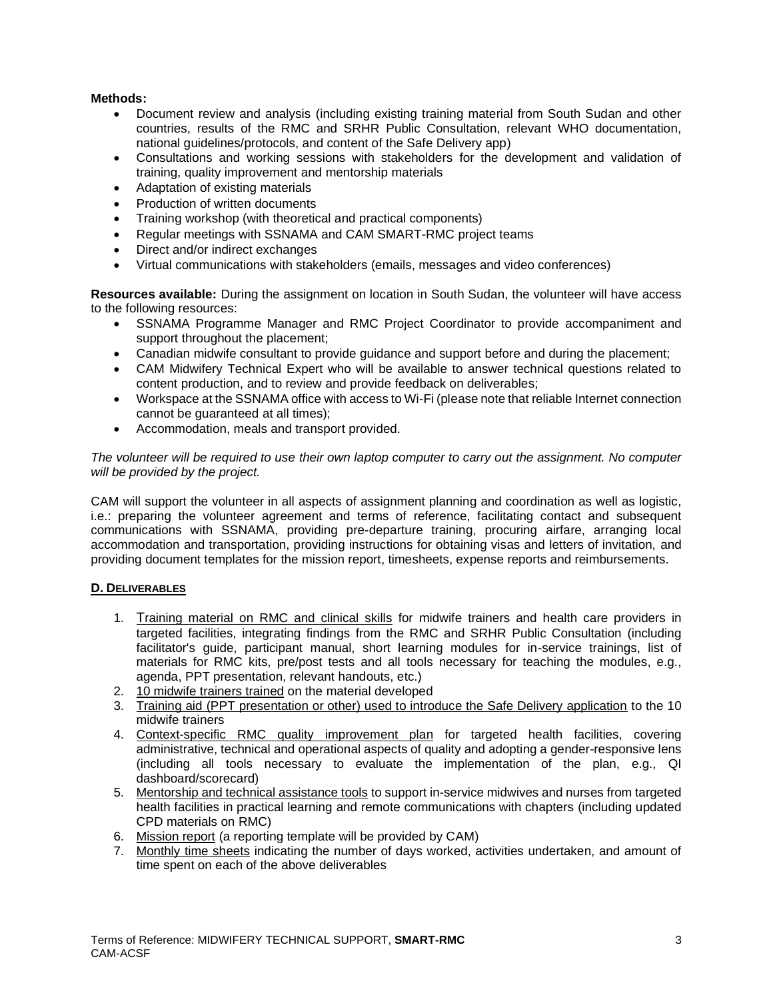### **Methods:**

- Document review and analysis (including existing training material from South Sudan and other countries, results of the RMC and SRHR Public Consultation, relevant WHO documentation, national guidelines/protocols, and content of the Safe Delivery app)
- Consultations and working sessions with stakeholders for the development and validation of training, quality improvement and mentorship materials
- Adaptation of existing materials
- Production of written documents
- Training workshop (with theoretical and practical components)
- Regular meetings with SSNAMA and CAM SMART-RMC project teams
- Direct and/or indirect exchanges
- Virtual communications with stakeholders (emails, messages and video conferences)

**Resources available:** During the assignment on location in South Sudan, the volunteer will have access to the following resources:

- SSNAMA Programme Manager and RMC Project Coordinator to provide accompaniment and support throughout the placement;
- Canadian midwife consultant to provide guidance and support before and during the placement;
- CAM Midwifery Technical Expert who will be available to answer technical questions related to content production, and to review and provide feedback on deliverables;
- Workspace at the SSNAMA office with access to Wi-Fi (please note that reliable Internet connection cannot be guaranteed at all times);
- Accommodation, meals and transport provided.

*The volunteer will be required to use their own laptop computer to carry out the assignment. No computer will be provided by the project.*

CAM will support the volunteer in all aspects of assignment planning and coordination as well as logistic, i.e.: preparing the volunteer agreement and terms of reference, facilitating contact and subsequent communications with SSNAMA, providing pre-departure training, procuring airfare, arranging local accommodation and transportation, providing instructions for obtaining visas and letters of invitation, and providing document templates for the mission report, timesheets, expense reports and reimbursements.

## **D. DELIVERABLES**

- 1. Training material on RMC and clinical skills for midwife trainers and health care providers in targeted facilities, integrating findings from the RMC and SRHR Public Consultation (including facilitator's guide, participant manual, short learning modules for in-service trainings, list of materials for RMC kits, pre/post tests and all tools necessary for teaching the modules, e.g., agenda, PPT presentation, relevant handouts, etc.)
- 2. 10 midwife trainers trained on the material developed
- 3. Training aid (PPT presentation or other) used to introduce the Safe Delivery application to the 10 midwife trainers
- 4. Context-specific RMC quality improvement plan for targeted health facilities, covering administrative, technical and operational aspects of quality and adopting a gender-responsive lens (including all tools necessary to evaluate the implementation of the plan, e.g., QI dashboard/scorecard)
- 5. Mentorship and technical assistance tools to support in-service midwives and nurses from targeted health facilities in practical learning and remote communications with chapters (including updated CPD materials on RMC)
- 6. Mission report (a reporting template will be provided by CAM)
- 7. Monthly time sheets indicating the number of days worked, activities undertaken, and amount of time spent on each of the above deliverables